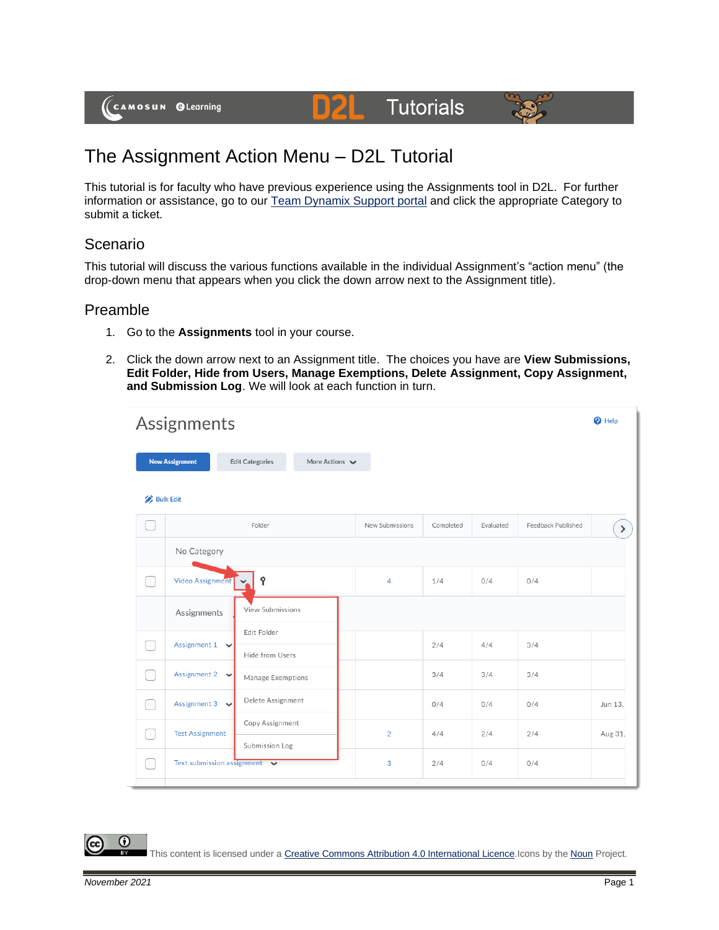

# The Assignment Action Menu – D2L Tutorial

This tutorial is for faculty who have previous experience using the Assignments tool in D2L. For further information or assistance, go to our [Team Dynamix Support portal](https://camosun.teamdynamix.com/TDClient/67/Portal/Requests/ServiceCatalog?CategoryID=523) and click the appropriate Category to submit a ticket.

DZ

# Scenario

This tutorial will discuss the various functions available in the individual Assignment's "action menu" (the drop-down menu that appears when you click the down arrow next to the Assignment title).

## Preamble

- 1. Go to the **Assignments** tool in your course.
- 2. Click the down arrow next to an Assignment title. The choices you have are **View Submissions, Edit Folder, Hide from Users, Manage Exemptions, Delete Assignment, Copy Assignment, and Submission Log**. We will look at each function in turn.

| Assignments      |                                                  |                                                              |                 |           |           | <sup>O</sup> Help  |         |
|------------------|--------------------------------------------------|--------------------------------------------------------------|-----------------|-----------|-----------|--------------------|---------|
|                  | <b>New Assignment</b>                            | More Actions $\blacktriangleright$<br><b>Edit Categories</b> |                 |           |           |                    |         |
| <b>Bulk Edit</b> |                                                  |                                                              |                 |           |           |                    |         |
|                  |                                                  | Folder                                                       | New Submissions | Completed | Evaluated | Feedback Published | $\,$    |
|                  | No Category                                      |                                                              |                 |           |           |                    |         |
|                  | Video Assignment                                 | Ŷ                                                            | 4               | 1/4       | 0/4       | 0/4                |         |
|                  | Assignments                                      | View Submissions                                             |                 |           |           |                    |         |
|                  | Assignment $1 \quad \vee$                        | Edit Folder<br>Hide from Users                               |                 | 2/4       | 4/4       | 3/4                |         |
|                  | Assignment 2 $\vee$                              | Manage Exemptions                                            |                 | 3/4       | 3/4       | 3/4                |         |
|                  | Assignment 3 $\vee$                              | Delete Assignment                                            |                 | 0/4       | 0/4       | 0/4                | Jun 13. |
|                  | <b>Test Assignment</b>                           | Copy Assignment<br>Submission Log                            | $\overline{2}$  | 4/4       | 2/4       | 2/4                | Aug 31, |
|                  | Text submission assignment $\blacktriangleright$ |                                                              | 3               | 2/4       | 0/4       | 0/4                |         |

⋒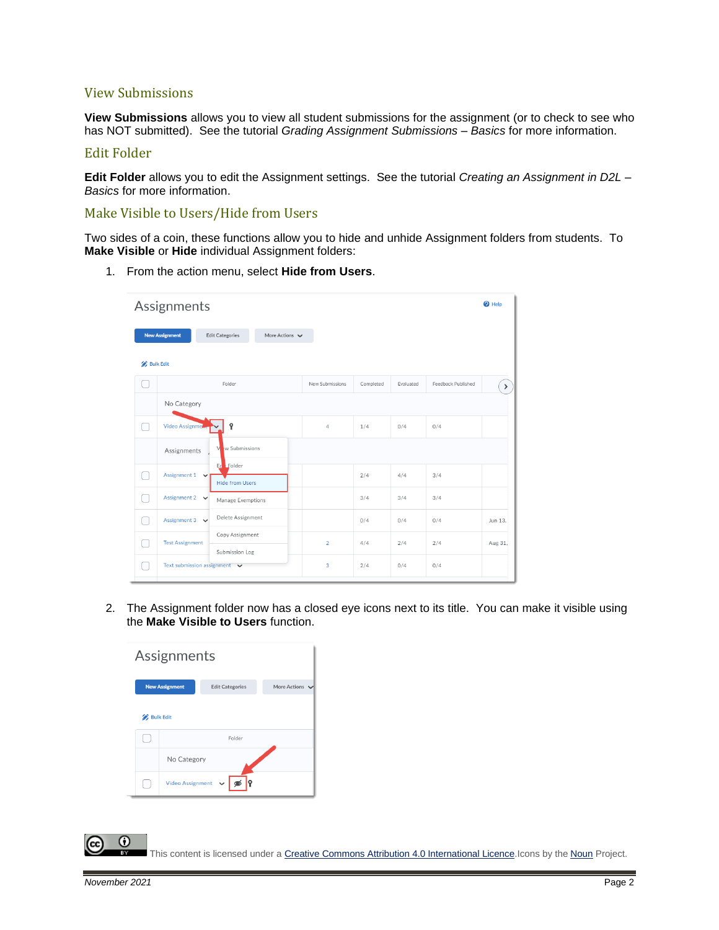#### View Submissions

**View Submissions** allows you to view all student submissions for the assignment (or to check to see who has NOT submitted). See the tutorial *Grading Assignment Submissions – Basics* for more information.

#### Edit Folder

**Edit Folder** allows you to edit the Assignment settings. See the tutorial *Creating an Assignment in D2L – Basics* for more information.

#### Make Visible to Users/Hide from Users

Two sides of a coin, these functions allow you to hide and unhide Assignment folders from students. To **Make Visible** or **Hide** individual Assignment folders:

1. From the action menu, select **Hide from Users**.

|                  | Assignments                       |                                               |                 |           |           |                    | $\bullet$ Help |
|------------------|-----------------------------------|-----------------------------------------------|-----------------|-----------|-----------|--------------------|----------------|
| <b>Bulk Edit</b> | <b>New Assignment</b>             | <b>Edit Categories</b><br>More Actions $\vee$ |                 |           |           |                    |                |
|                  |                                   | Folder                                        | New Submissions | Completed | Evaluated | Feedback Published | $\sum$         |
|                  | No Category                       |                                               |                 |           |           |                    |                |
| Ξ                | Video Assignme                    | Ŷ                                             | $\overline{4}$  | 1/4       | 0/4       | 0/4                |                |
|                  | Assignments                       | w Submissions<br>M                            |                 |           |           |                    |                |
|                  | Assignment $1 \quad \vee$         | Ed Folder<br><b>Hide from Users</b>           |                 | 2/4       | 4/4       | 3/4                |                |
|                  | Assignment $2 \times$             | Manage Exemptions                             |                 | 3/4       | 3/4       | 3/4                |                |
|                  | Assignment 3 $\vee$               | Delete Assignment                             |                 | 0/4       | 0/4       | 0/4                | Jun 13.        |
| - 1              | <b>Test Assignment</b>            | Copy Assignment                               | $\overline{2}$  | 4/4       | 2/4       | 2/4                | Aug 31,        |
| ×.               | Text submission assignment $\vee$ | Submission Log                                | 3               | 2/4       | 0/4       | 0/4                |                |

2. The Assignment folder now has a closed eye icons next to its title. You can make it visible using the **Make Visible to Users** function.

| Assignments      |                                                                 |           |  |  |  |  |  |
|------------------|-----------------------------------------------------------------|-----------|--|--|--|--|--|
|                  | <b>New Assignment</b><br>More Actions<br><b>Edit Categories</b> |           |  |  |  |  |  |
| <b>Bulk Edit</b> |                                                                 | Folder    |  |  |  |  |  |
|                  |                                                                 |           |  |  |  |  |  |
|                  | No Category                                                     |           |  |  |  |  |  |
|                  | <b>Video Assignment</b>                                         | $\bullet$ |  |  |  |  |  |

This content is licensed under [a Creative Commons Attribution 4.0 International Licence.I](https://creativecommons.org/licenses/by/4.0/)cons by the [Noun](https://creativecommons.org/website-icons/) Project.

⋒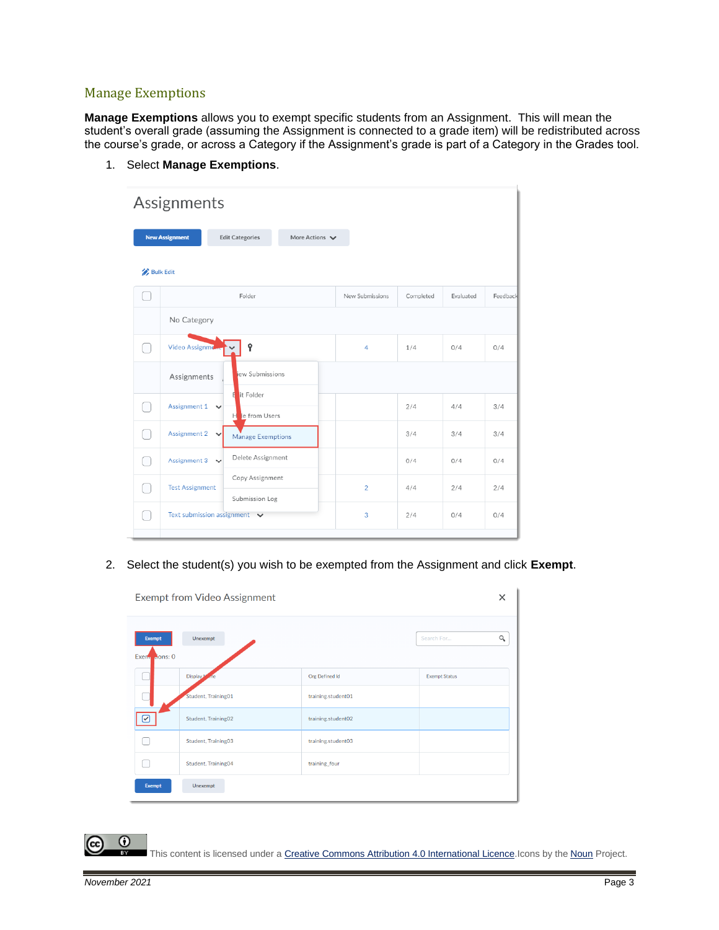## Manage Exemptions

**Manage Exemptions** allows you to exempt specific students from an Assignment. This will mean the student's overall grade (assuming the Assignment is connected to a grade item) will be redistributed across the course's grade, or across a Category if the Assignment's grade is part of a Category in the Grades tool.

1. Select **Manage Exemptions**.

| Assignments      |                                   |                                      |                                    |                 |           |           |          |  |
|------------------|-----------------------------------|--------------------------------------|------------------------------------|-----------------|-----------|-----------|----------|--|
|                  | <b>New Assignment</b>             | <b>Edit Categories</b>               | More Actions $\blacktriangleright$ |                 |           |           |          |  |
| <b>Bulk Edit</b> |                                   |                                      |                                    |                 |           |           |          |  |
|                  |                                   | Folder                               |                                    | New Submissions | Completed | Evaluated | Feedback |  |
|                  | No Category                       |                                      |                                    |                 |           |           |          |  |
|                  | Video Assignman                   | Ŷ                                    |                                    | 4               | 1/4       | 0/4       | 0/4      |  |
|                  | Assignments                       | iew Submissions                      |                                    |                 |           |           |          |  |
|                  | Assignment $1 \quad \vee$         | it Folder<br>Ħ<br>le from Users<br>н |                                    |                 | 2/4       | 4/4       | 3/4      |  |
|                  | Assignment 2<br>$\checkmark$      | Manage Exemptions                    |                                    |                 | 3/4       | 3/4       | 3/4      |  |
|                  | Assignment 3<br>$\checkmark$      | Delete Assignment                    |                                    |                 | 0/4       | 0/4       | 0/4      |  |
|                  | <b>Test Assignment</b>            | Copy Assignment<br>Submission Log    |                                    | $\overline{2}$  | 4/4       | 2/4       | 2/4      |  |
|                  | Text submission assignment $\vee$ |                                      |                                    | 3               | 2/4       | 0/4       | 0/4      |  |
|                  |                                   |                                      |                                    |                 |           |           |          |  |

2. Select the student(s) you wish to be exempted from the Assignment and click **Exempt**.

| Exempt from Video Assignment  |                     |                       |                        |  |  |
|-------------------------------|---------------------|-----------------------|------------------------|--|--|
| <b>Exempt</b><br>Exem dons: 0 | <b>Unexempt</b>     |                       | $\alpha$<br>Search For |  |  |
|                               | Display.            | <b>Org Defined Id</b> | <b>Exempt Status</b>   |  |  |
|                               | Student, Training01 | training.student01    |                        |  |  |
| ✓                             | Student, Training02 | training.student02    |                        |  |  |
|                               | Student, Training03 | training.student03    |                        |  |  |
|                               | Student, Training04 | training_four         |                        |  |  |
| <b>Exempt</b>                 | Unexempt            |                       |                        |  |  |

 $\odot$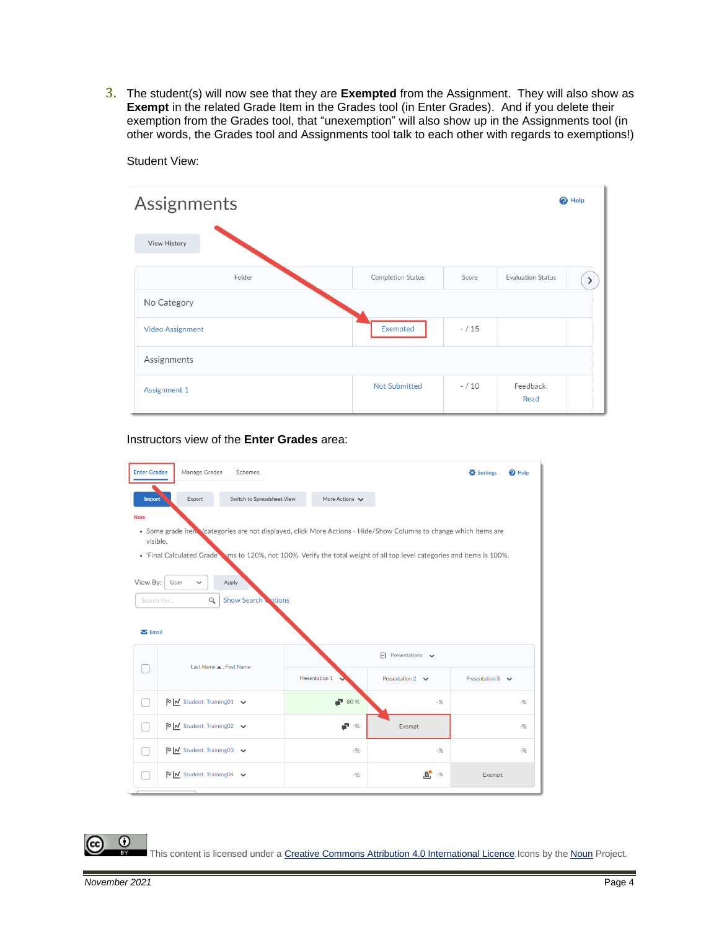3. The student(s) will now see that they are **Exempted** from the Assignment. They will also show as **Exempt** in the related Grade Item in the Grades tool (in Enter Grades). And if you delete their exemption from the Grades tool, that "unexemption" will also show up in the Assignments tool (in other words, the Grades tool and Assignments tool talk to each other with regards to exemptions!)

| Assignments             |                      |          | <sup>O</sup> Help        |
|-------------------------|----------------------|----------|--------------------------|
| <b>View History</b>     |                      |          |                          |
| Folder                  | Completion Status    | Score    | <b>Evaluation Status</b> |
| No Category             |                      |          |                          |
| <b>Video Assignment</b> | Exempted             | $- / 15$ |                          |
| Assignments             |                      |          |                          |
| Assignment 1            | <b>Not Submitted</b> | $- / 10$ | Feedback:<br>Read        |

Student View:

#### Instructors view of the **Enter Grades** area:

| <b>Enter Grades</b>                                                                                                           | Manage Grades<br>Schemes                                                                                                  |                     |                                       | Settings<br>$\Theta$ Help |  |  |  |  |
|-------------------------------------------------------------------------------------------------------------------------------|---------------------------------------------------------------------------------------------------------------------------|---------------------|---------------------------------------|---------------------------|--|--|--|--|
| Import                                                                                                                        | Export<br>Switch to Spreadsheet View                                                                                      | More Actions $\vee$ |                                       |                           |  |  |  |  |
| <b>Note</b>                                                                                                                   |                                                                                                                           |                     |                                       |                           |  |  |  |  |
| • Some grade item Vcategories are not displayed, click More Actions - Hide/Show Columns to change which items are<br>visible. |                                                                                                                           |                     |                                       |                           |  |  |  |  |
|                                                                                                                               | . 'Final Calculated Grade's was to 120%, not 100%. Verify the total weight of all top level categories and items is 100%. |                     |                                       |                           |  |  |  |  |
| View By:                                                                                                                      | User<br>Apply<br>$\checkmark$                                                                                             |                     |                                       |                           |  |  |  |  |
|                                                                                                                               |                                                                                                                           |                     |                                       |                           |  |  |  |  |
| Search For                                                                                                                    | <b>Show Search Cotions</b><br>$\alpha$                                                                                    |                     |                                       |                           |  |  |  |  |
| $\sum$ Email                                                                                                                  |                                                                                                                           |                     |                                       |                           |  |  |  |  |
|                                                                                                                               |                                                                                                                           |                     | $\Box$ Presentations $\triangleright$ |                           |  |  |  |  |
|                                                                                                                               | Last Name . First Name                                                                                                    | Presentation 1      | Presentation 2 $\vee$                 | Presentation 3 $\vee$     |  |  |  |  |
|                                                                                                                               | $\triangleright$   M Student, Training01 $\triangleright$                                                                 | $-80%$              | $-$ %                                 | $-96$                     |  |  |  |  |
| Œ                                                                                                                             | $\triangleright$   M Student, Training02 $\triangleright$                                                                 | <b>. 5</b>          | Exempt                                | $-96$                     |  |  |  |  |
|                                                                                                                               | $\triangleright$   M Student, Training03 $\triangleright$                                                                 | $-$ %               | $-%$                                  | $-$ %                     |  |  |  |  |
|                                                                                                                               | $\triangleright$   $\triangleright$ Student, Training 04 $\triangleright$                                                 | $-96$               | <b>B</b> -%                           | Exempt                    |  |  |  |  |
|                                                                                                                               |                                                                                                                           |                     |                                       |                           |  |  |  |  |

 $\odot$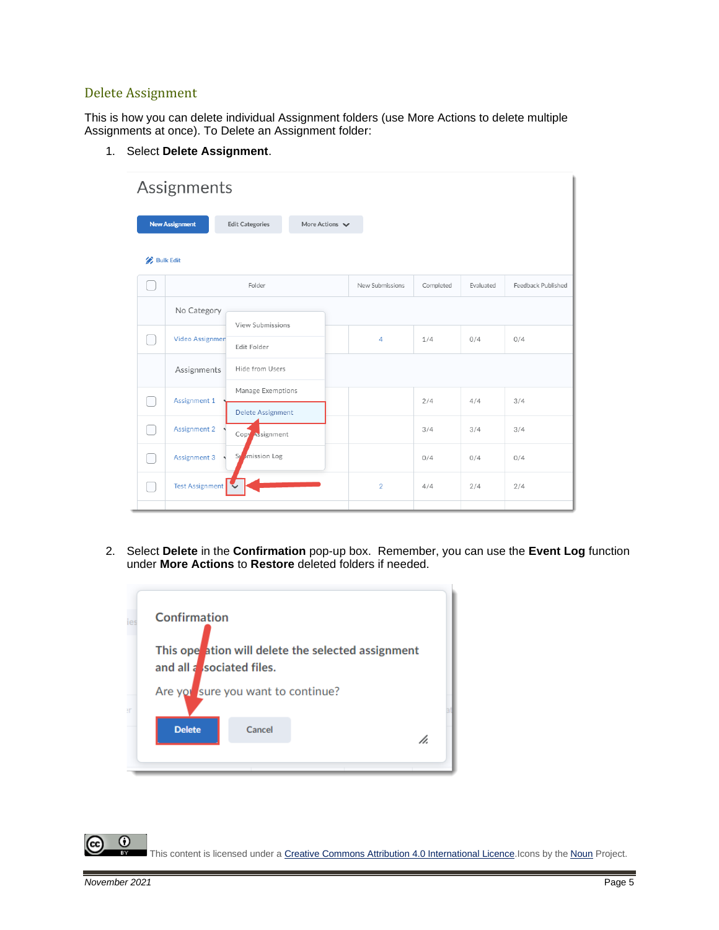#### Delete Assignment

This is how you can delete individual Assignment folders (use More Actions to delete multiple Assignments at once). To Delete an Assignment folder:

| Assignments                                                            |                                          |  |                 |           |           |                    |  |  |
|------------------------------------------------------------------------|------------------------------------------|--|-----------------|-----------|-----------|--------------------|--|--|
| <b>New Assignment</b><br><b>Edit Categories</b><br>More Actions $\vee$ |                                          |  |                 |           |           |                    |  |  |
| <b>Bulk Edit</b>                                                       |                                          |  |                 |           |           |                    |  |  |
|                                                                        | Folder                                   |  | New Submissions | Completed | Evaluated | Feedback Published |  |  |
| No Category                                                            | View Submissions                         |  |                 |           |           |                    |  |  |
| Video Assignmen                                                        | Edit Folder                              |  | $\overline{4}$  | 1/4       | 0/4       | 0/4                |  |  |
| Assignments                                                            | Hide from Users                          |  |                 |           |           |                    |  |  |
| Assignment 1                                                           | Manage Exemptions<br>Delete Assignment   |  |                 | 2/4       | 4/4       | 3/4                |  |  |
| Assignment 2                                                           | Copy Assignment                          |  |                 | 3/4       | 3/4       | 3/4                |  |  |
| Assignment 3                                                           | <i>I</i> mission Log<br>$S_{\mathbb{I}}$ |  |                 | 0/4       | 0/4       | 0/4                |  |  |
| Test Assignment                                                        |                                          |  | $\overline{2}$  | 4/4       | 2/4       | 2/4                |  |  |
|                                                                        |                                          |  |                 |           |           |                    |  |  |

1. Select **Delete Assignment**.

2. Select **Delete** in the **Confirmation** pop-up box. Remember, you can use the **Event Log** function under **More Actions** to **Restore** deleted folders if needed.

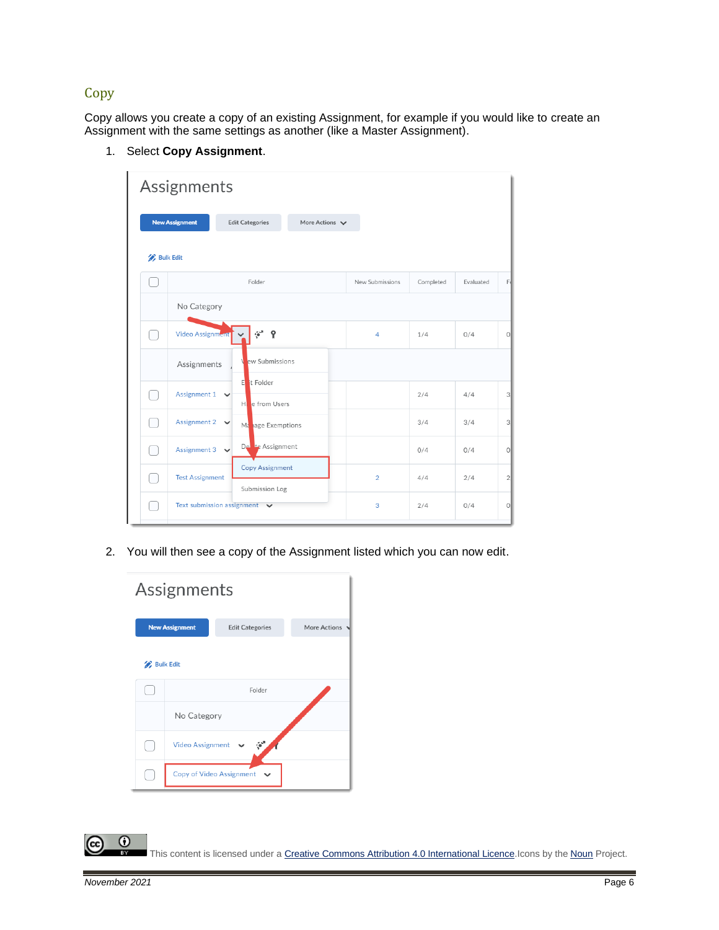### **Copy**

Copy allows you create a copy of an existing Assignment, for example if you would like to create an Assignment with the same settings as another (like a Master Assignment).

- Assignments **Edit Categories** More Actions  $\blacktriangleright$ **New Assignment Bulk Edit**  $\bigcap$ Folder New Submissions Completed Evaluated No Category  $\mathcal{C}^{\mathcal{A}}$  .  $\mathcal{P}$  $\bigcirc$ Video Assignm  $\overline{A}$  $1/4$  $0/4$  $\circ$ w Submissions Assignments t Folder  $\bigcirc$ Assignment 1  $2/4$  $4/4$ 3 e from Users  $\bigcirc$ Assignment 2  $3/4$  $3/4$  $\checkmark$ age Exemptions 3 M Assignment D<sub>€</sub>  $\bigcirc$ Assignment 3  $0/4$  $0/4$  $\circ$ Copy Assignment  $\bigcirc$ **Test Assignment**  $\overline{2}$  $4/4$  $2/4$  $\overline{2}$ Submission Log  $\bigcirc$ Text submission assignment  $\blacktriangleright$ 3  $2/4$  $0/4$  $\circ$
- 1. Select **Copy Assignment**.

2. You will then see a copy of the Assignment listed which you can now edit.

| Assignments |                          |                        |              |  |  |  |  |  |
|-------------|--------------------------|------------------------|--------------|--|--|--|--|--|
|             | <b>New Assignment</b>    | <b>Edit Categories</b> | More Actions |  |  |  |  |  |
|             | <b>Bulk Edit</b>         |                        |              |  |  |  |  |  |
|             |                          | Folder                 |              |  |  |  |  |  |
|             | No Category              |                        |              |  |  |  |  |  |
|             | <b>Video Assignment</b>  | ್                      |              |  |  |  |  |  |
|             | Copy of Video Assignment | $\checkmark$           |              |  |  |  |  |  |

 $\odot$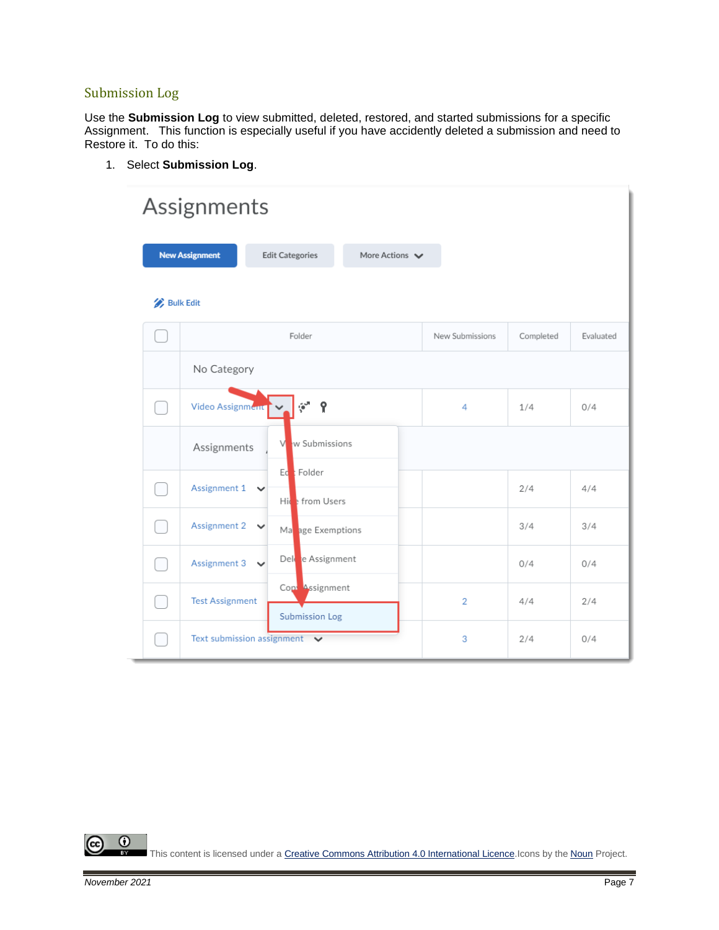# Submission Log

Use the **Submission Log** to view submitted, deleted, restored, and started submissions for a specific Assignment. This function is especially useful if you have accidently deleted a submission and need to Restore it. To do this:

1. Select **Submission Log**.

|                  | Assignments                       |                                         |                |                 |           |           |  |
|------------------|-----------------------------------|-----------------------------------------|----------------|-----------------|-----------|-----------|--|
|                  | <b>New Assignment</b>             | <b>Edit Categories</b>                  | More Actions V |                 |           |           |  |
| <b>Bulk Edit</b> |                                   |                                         |                |                 |           |           |  |
|                  |                                   | Folder                                  |                | New Submissions | Completed | Evaluated |  |
|                  | No Category                       |                                         |                |                 |           |           |  |
|                  | Video Assignment                  | Ŷ                                       |                | 4               | 1/4       | 0/4       |  |
|                  | Assignments                       | w Submissions<br>V                      |                |                 |           |           |  |
|                  | Assignment $1 \quad \vee$         | Ed Folder<br>Hice from Users            |                |                 | 2/4       | 4/4       |  |
|                  | Assignment 2 $\vee$               | Manage Exemptions                       |                |                 | 3/4       | 3/4       |  |
|                  | Assignment 3 $\sqrt{}$            | Del e Assignment                        |                |                 | 0/4       | 0/4       |  |
|                  | <b>Test Assignment</b>            | Cop Assignment<br><b>Submission Log</b> |                | $\overline{2}$  | 4/4       | 2/4       |  |
|                  | Text submission assignment $\vee$ |                                         |                | 3               | 2/4       | 0/4       |  |

 $\overline{0}$ This content is licensed under [a Creative Commons Attribution 4.0 International Licence.I](https://creativecommons.org/licenses/by/4.0/)cons by the [Noun](https://creativecommons.org/website-icons/) Project.

(cc